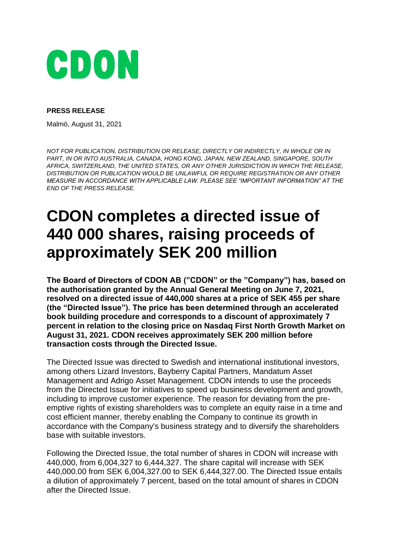

### **PRESS RELEASE**

Malmö, August 31, 2021

*NOT FOR PUBLICATION, DISTRIBUTION OR RELEASE, DIRECTLY OR INDIRECTLY, IN WHOLE OR IN PART, IN OR INTO AUSTRALIA, CANADA, HONG KONG, JAPAN, NEW ZEALAND, SINGAPORE, SOUTH AFRICA, SWITZERLAND, THE UNITED STATES, OR ANY OTHER JURISDICTION IN WHICH THE RELEASE, DISTRIBUTION OR PUBLICATION WOULD BE UNLAWFUL OR REQUIRE REGISTRATION OR ANY OTHER MEASURE IN ACCORDANCE WITH APPLICABLE LAW. PLEASE SEE "IMPORTANT INFORMATION" AT THE END OF THE PRESS RELEASE.*

# **CDON completes a directed issue of 440 000 shares, raising proceeds of approximately SEK 200 million**

**The Board of Directors of CDON AB ("CDON" or the "Company") has, based on the authorisation granted by the Annual General Meeting on June 7, 2021, resolved on a directed issue of 440,000 shares at a price of SEK 455 per share (the "Directed Issue"). The price has been determined through an accelerated book building procedure and corresponds to a discount of approximately 7 percent in relation to the closing price on Nasdaq First North Growth Market on August 31, 2021. CDON receives approximately SEK 200 million before transaction costs through the Directed Issue.**

The Directed Issue was directed to Swedish and international institutional investors, among others Lizard Investors, Bayberry Capital Partners, Mandatum Asset Management and Adrigo Asset Management. CDON intends to use the proceeds from the Directed Issue for initiatives to speed up business development and growth, including to improve customer experience. The reason for deviating from the preemptive rights of existing shareholders was to complete an equity raise in a time and cost efficient manner, thereby enabling the Company to continue its growth in accordance with the Company's business strategy and to diversify the shareholders base with suitable investors.

Following the Directed Issue, the total number of shares in CDON will increase with 440,000, from 6,004,327 to 6,444,327. The share capital will increase with SEK 440,000.00 from SEK 6,004,327.00 to SEK 6,444,327.00. The Directed Issue entails a dilution of approximately 7 percent, based on the total amount of shares in CDON after the Directed Issue.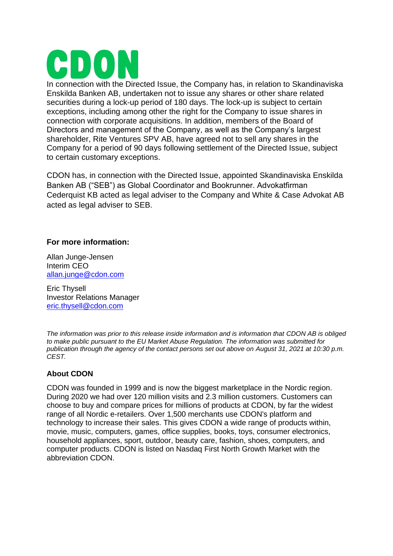In connection with the Directed Issue, the Company has, in relation to Skandinaviska Enskilda Banken AB, undertaken not to issue any shares or other share related securities during a lock-up period of 180 days. The lock-up is subject to certain exceptions, including among other the right for the Company to issue shares in connection with corporate acquisitions. In addition, members of the Board of Directors and management of the Company, as well as the Company's largest shareholder, Rite Ventures SPV AB, have agreed not to sell any shares in the Company for a period of 90 days following settlement of the Directed Issue, subject to certain customary exceptions.

CDON has, in connection with the Directed Issue, appointed Skandinaviska Enskilda Banken AB ("SEB") as Global Coordinator and Bookrunner. Advokatfirman Cederquist KB acted as legal adviser to the Company and White & Case Advokat AB acted as legal adviser to SEB.

## **For more information:**

Allan Junge-Jensen Interim CEO allan.junge@cdon.com

Eric Thysell Investor Relations Manager [eric.thysell@cdon.com](mailto:eric.thysell@cdon.com)

*The information was prior to this release inside information and is information that CDON AB is obliged to make public pursuant to the EU Market Abuse Regulation. The information was submitted for publication through the agency of the contact persons set out above on August 31, 2021 at 10:30 p.m. CEST.*

## **About CDON**

CDON was founded in 1999 and is now the biggest marketplace in the Nordic region. During 2020 we had over 120 million visits and 2.3 million customers. Customers can choose to buy and compare prices for millions of products at CDON, by far the widest range of all Nordic e-retailers. Over 1,500 merchants use CDON's platform and technology to increase their sales. This gives CDON a wide range of products within, movie, music, computers, games, office supplies, books, toys, consumer electronics, household appliances, sport, outdoor, beauty care, fashion, shoes, computers, and computer products. CDON is listed on Nasdaq First North Growth Market with the abbreviation CDON.